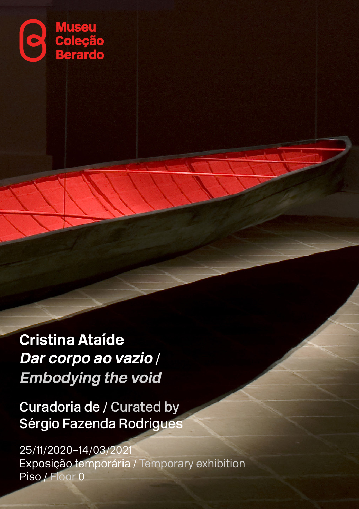

**Cristina Ataíde Dar corpo ao vazio / Embodying the void**

Curadoria de / Curated by Sérgio Fazenda Rodrigues

25/11/2020–14/03/2021 Exposição temporária / Temporary exhibition Piso / Floor 0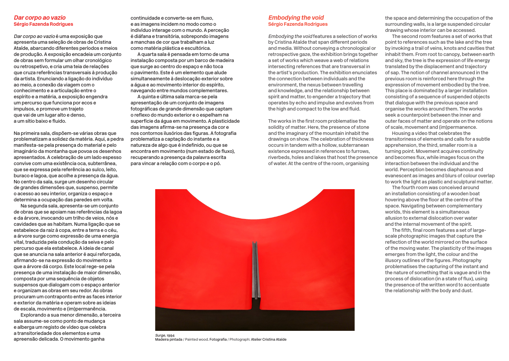## **Dar corpo ao vazio Sérgio Fazenda Rodrigues**

Dar corpo ao vazio é uma exposição que apresenta uma seleção de obras de Cristina Ataíde, abarcando diferentes períodos e meios de produção. A exposição encadeia um conjunto de obras sem formular um olhar cronológico ou retrospetivo, e cria uma teia de relações que cruza referências transversais à produção da artista. Enunciando a ligação do indivíduo ao meio, a conexão da viagem com o conhecimento e a articulação entre o espírito e a matéria, a exposição engendra um percurso que funciona por ecos e impulsos, e promove um trajeto que vai de um lugar alto e denso, a um sítio baixo e fluido.

Na primeira sala, dispõem-se várias obras que problematizam a solidez da matéria. Aqui, a pedra manifesta-se pela presença do material e pelo imaginário da montanha que povoa os desenhos apresentados. A celebração de um lado espesso convive com uma existência oca, subterrânea, que se expressa pela referência ao sulco, leito, buraco e lagoa, que acolhe a presença da água. No centro da sala, surge um desenho circular de grandes dimensões que, suspenso, permite o acesso ao seu interior, organiza o espaço e determina a ocupação das paredes em volta.

Na segunda sala, apresenta-se um conjunto de obras que se apoiam nas referências da lagoa e da árvore, invocando um trilho de veios, nós e cavidades que as habitam. Numa ligação que se estabelece da raiz à copa, entre a terra e o céu, a árvore surge como expressão de uma energia vital, traduzida pela condução da seiva e pelo percurso que ela estabelece. A ideia de canal que se anuncia na sala anterior é aqui reforçada, afirmando-se na expressão do movimento a que a árvore dá corpo. Este local rege-se pela presença de uma instalação de maior dimensão, composta por uma sequência de objetos suspensos que dialogam com o espaço anterior e organizam as obras em seu redor. As obras procuram um contraponto entre as faces interior e exterior da matéria e operam sobre as ideias de escala, movimento e (im)permanência.

Explorando a sua menor dimensão, a terceira sala assume-se como ponto de mudança e alberga um registo de vídeo que celebra a transitoriedade dos elementos e uma apreensão delicada. O movimento ganha

continuidade e converte-se em fluxo, e as imagens incidem no modo como o indivíduo interage com o mundo. A perceção é diáfana e transitória, sobrepondo imagens a manchas de cor que trabalham a luz como matéria plástica e escultórica.

A quarta sala é pensada em torno de uma instalação composta por um barco de madeira que surge ao centro do espaço e não toca o pavimento. Este é um elemento que alude simultaneamente à deslocação exterior sobre a água e ao movimento interior do espírito, navegando entre mundos complementares.

A quinta e última sala marca-se pela apresentação de um conjunto de imagens fotográficas de grande dimensão que captam o reflexo do mundo exterior e o espelham na superfície da água em movimento. A plasticidade das imagens afirma-se na presença da cor e nos contornos ilusórios das figuras. A fotografia problematiza a captação do instante e a natureza de algo que é indefinido, ou que se encontra em movimento (num estado de fluxo), recuperando a presença da palavra escrita para vincar a relação com o corpo e o pó.

## **Embodying the void Sérgio Fazenda Rodrigues**

Embodying the void features a selection of works by Cristina Ataíde that span different periods and media. Without conveying a chronological or retrospective gaze, the exhibition brings together a set of works which weave a web of relations intersecting references that are transversal in the artist's production. The exhibition enunciates the connection between individuals and the environment, the nexus between travelling and knowledge, and the relationship between spirit and matter, to engender a trajectory that operates by echo and impulse and evolves from the high and compact to the low and fluid.

The works in the first room problematise the solidity of matter. Here, the presence of stone and the imaginary of the mountain inhabit the drawings on show. The celebration of thickness occurs in tandem with a hollow, subterranean existence expressed in references to furrows, riverbeds, holes and lakes that host the presence of water. At the centre of the room, organising



Surge, 1994 Madeira pintada / Painted wood. Fotografia / Photograph: Atelier Cristina Ataíde

the space and determining the occupation of the surrounding walls, is a large suspended circular drawing whose interior can be accessed.

The second room features a set of works that point to references such as the lake and the tree by invoking a trail of veins, knots and cavities that inhabit them. From root to canopy, between earth and sky, the tree is the expression of life energy translated by the displacement and trajectory of sap. The notion of channel announced in the previous room is reinforced here through the expression of movement embodied by the tree. This place is dominated by a larger installation consisting of a sequence of suspended objects that dialogue with the previous space and organise the works around them. The works seek a counterpoint between the inner and outer faces of matter and operate on the notions of scale, movement and (im)permanence.

Housing a video that celebrates the transitoriness of elements and calls for a subtle apprehension, the third, smaller room is a turning point. Movement acquires continuity and becomes flux, while images focus on the interaction between the individual and the world. Perception becomes diaphanous and evanescent as images and blurs of colour overlap to work the light as plastic and sculptural matter.

The fourth room was conceived around an installation consisting of a wooden boat hovering above the floor at the centre of the space. Navigating between complementary worlds, this element is a simultaneous allusion to external dislocation over water and the internal movement of the spirit.

The fifth, final room features a set of largescale photographic images that capture the reflection of the world mirrored on the surface of the moving water. The plasticity of the images emerges from the light, the colour and the illusory outlines of the figures. Photography problematises the capturing of the instant and the nature of something that is vague and in the process of dislocation (in a state of flux), using the presence of the written word to accentuate the relationship with the body and dust.